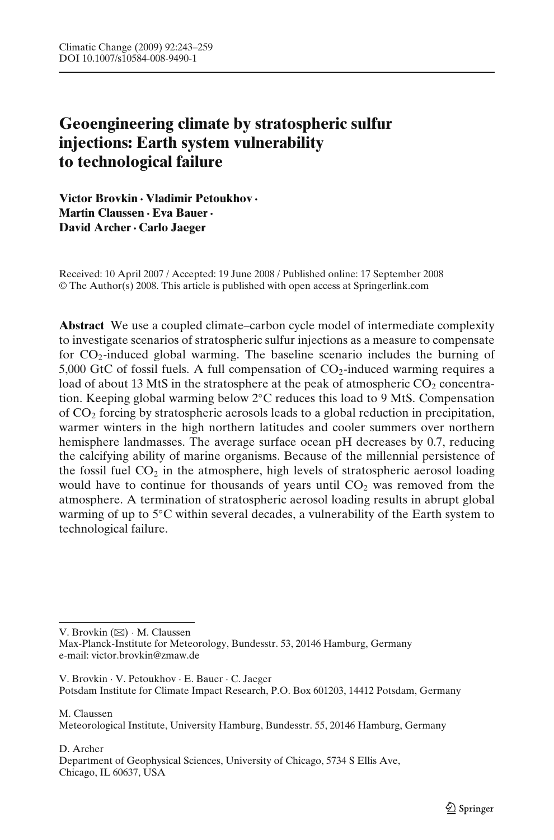# **Geoengineering climate by stratospheric sulfur injections: Earth system vulnerability to technological failure**

**Victor Brovkin · Vladimir Petoukhov · Martin Claussen · Eva Bauer· David Archer· Carlo Jaeger**

Received: 10 April 2007 / Accepted: 19 June 2008 / Published online: 17 September 2008 © The Author(s) 2008. This article is published with open access at Springerlink.com

**Abstract** We use a coupled climate–carbon cycle model of intermediate complexity to investigate scenarios of stratospheric sulfur injections as a measure to compensate for  $CO<sub>2</sub>$ -induced global warming. The baseline scenario includes the burning of 5,000 GtC of fossil fuels. A full compensation of  $CO<sub>2</sub>$ -induced warming requires a load of about 13 MtS in the stratosphere at the peak of atmospheric  $CO<sub>2</sub>$  concentration. Keeping global warming below 2◦C reduces this load to 9 MtS. Compensation of  $CO<sub>2</sub>$  forcing by stratospheric aerosols leads to a global reduction in precipitation, warmer winters in the high northern latitudes and cooler summers over northern hemisphere landmasses. The average surface ocean pH decreases by 0.7, reducing the calcifying ability of marine organisms. Because of the millennial persistence of the fossil fuel  $CO<sub>2</sub>$  in the atmosphere, high levels of stratospheric aerosol loading would have to continue for thousands of years until  $CO<sub>2</sub>$  was removed from the atmosphere. A termination of stratospheric aerosol loading results in abrupt global warming of up to 5◦C within several decades, a vulnerability of the Earth system to technological failure.

V. Brovkin (B) · M. Claussen

Max-Planck-Institute for Meteorology, Bundesstr. 53, 20146 Hamburg, Germany e-mail: victor.brovkin@zmaw.de

V. Brovkin · V. Petoukhov · E. Bauer · C. Jaeger Potsdam Institute for Climate Impact Research, P.O. Box 601203, 14412 Potsdam, Germany

M. Claussen Meteorological Institute, University Hamburg, Bundesstr. 55, 20146 Hamburg, Germany

D. Archer Department of Geophysical Sciences, University of Chicago, 5734 S Ellis Ave, Chicago, IL 60637, USA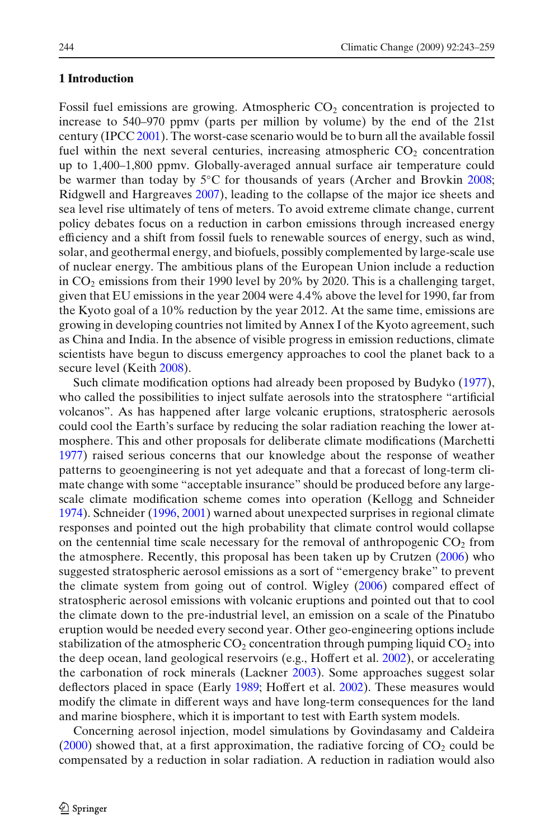# **1 Introduction**

Fossil fuel emissions are growing. Atmospheric  $CO<sub>2</sub>$  concentration is projected to increase to 540–970 ppmv (parts per million by volume) by the end of the 21st century (IPC[C](#page-15-0) [2001\)](#page-15-0). The worst-case scenario would be to burn all the available fossil fuel within the next several centuries, increasing atmospheric  $CO<sub>2</sub>$  concentration up to 1,400–1,800 ppmv. Globally-averaged annual surface air temperature could be warmer tha[n](#page-14-0) today by 5℃ for thousands of years (Archer and Brovkin [2008](#page-14-0); Ridgwell and Hargreave[s](#page-15-0) [2007](#page-15-0)), leading to the collapse of the major ice sheets and sea level rise ultimately of tens of meters. To avoid extreme climate change, current policy debates focus on a reduction in carbon emissions through increased energy efficiency and a shift from fossil fuels to renewable sources of energy, such as wind, solar, and geothermal energy, and biofuels, possibly complemented by large-scale use of nuclear energy. The ambitious plans of the European Union include a reduction in  $CO<sub>2</sub>$  emissions from their 1990 level by 20% by 2020. This is a challenging target, given that EU emissions in the year 2004 were 4.4% above the level for 1990, far from the Kyoto goal of a 10% reduction by the year 2012. At the same time, emissions are growing in developing countries not limited by Annex I of the Kyoto agreement, such as China and India. In the absence of visible progress in emission reductions, climate scientists have begun to discuss emergency approaches to cool the planet back to a secure level (Keit[h](#page-15-0) [2008\)](#page-15-0).

Such climate modification options had already been proposed by Budyk[o](#page-14-0) [\(1977\)](#page-14-0), who called the possibilities to inject sulfate aerosols into the stratosphere "artificial volcanos". As has happened after large volcanic eruptions, stratospheric aerosols could cool the Earth's surface by reducing the solar radiation reaching the lower atmosphere. This and other proposals for deliberate climate modifications (Marchett[i](#page-15-0) [1977\)](#page-15-0) raised serious concerns that our knowledge about the response of weather patterns to geoengineering is not yet adequate and that a forecast of long-term climate change with some "acceptable insurance" should be produced before any largescale climate modification scheme comes into operation (Kellogg and Schneide[r](#page-15-0) [1974\)](#page-15-0). Schneide[r](#page-15-0) [\(1996](#page-15-0), [2001\)](#page-15-0) warned about unexpected surprises in regional climate responses and pointed out the high probability that climate control would collapse on the centennial time scale necessary for the removal of anthropogenic  $CO<sub>2</sub>$  from the atmosphere. Recently, this proposal has been taken up by Crutze[n](#page-14-0) [\(2006](#page-14-0)) who suggested stratospheric aerosol emissions as a sort of "emergency brake" to prevent the climate system from going out of control. Wigle[y](#page-16-0) [\(2006\)](#page-16-0) compared effect of stratospheric aerosol emissions with volcanic eruptions and pointed out that to cool the climate down to the pre-industrial level, an emission on a scale of the Pinatubo eruption would be needed every second year. Other geo-engineering options include stabilization of the atmospheric  $CO_2$  concentration through pumping liquid  $CO_2$  into the deep ocean, land geological reservoirs (e.g., Hoffert et al[.](#page-14-0) [2002](#page-14-0)), or accelerating the carbonation of rock minerals (Lackne[r](#page-15-0) [2003](#page-15-0)). Some approaches suggest solar deflectors placed in space (Earl[y](#page-14-0) [1989;](#page-14-0) Hoffert et al[.](#page-14-0) [2002](#page-14-0)). These measures would modify the climate in different ways and have long-term consequences for the land and marine biosphere, which it is important to test with Earth system models.

Concerning aerosol injection, model simulations by Govindasamy and Caldeir[a](#page-14-0)  $(2000)$  $(2000)$  showed that, at a first approximation, the radiative forcing of  $CO<sub>2</sub>$  could be compensated by a reduction in solar radiation. A reduction in radiation would also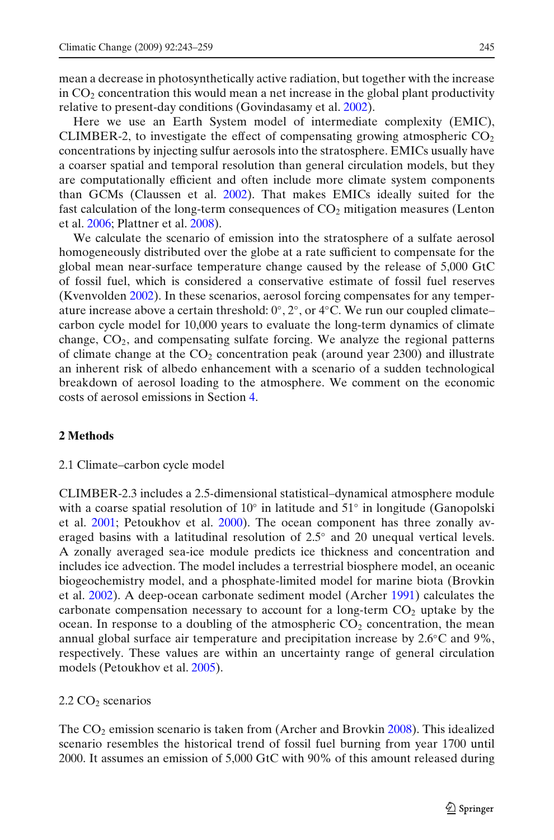mean a decrease in photosynthetically active radiation, but together with the increase in  $CO<sub>2</sub>$  concentration this would mean a net increase in the global plant productivity relative to present-day conditions (Govindasamy et al[.](#page-14-0) [2002\)](#page-14-0).

Here we use an Earth System model of intermediate complexity (EMIC), CLIMBER-2, to investigate the effect of compensating growing atmospheric  $CO<sub>2</sub>$ concentrations by injecting sulfur aerosols into the stratosphere. EMICs usually have a coarser spatial and temporal resolution than general circulation models, but they are computationally efficient and often include more climate system components than GCMs (Claussen et al[.](#page-14-0) [2002](#page-14-0)). That makes EMICs ideally suited for the fast calculation of the long-term consequences of  $CO<sub>2</sub>$  mitigation measures (Lenton et al[.](#page-15-0) [2006](#page-15-0); Plattner et al[.](#page-15-0) [2008](#page-15-0)).

We calculate the scenario of emission into the stratosphere of a sulfate aerosol homogeneously distributed over the globe at a rate sufficient to compensate for the global mean near-surface temperature change caused by the release of 5,000 GtC of fossil fuel, which is considered a conservative estimate of fossil fuel reserves (Kvenvolde[n](#page-15-0) [2002](#page-15-0)). In these scenarios, aerosol forcing compensates for any temperature increase above a certain threshold:  $0^\circ$ ,  $2^\circ$ , or  $4^\circ$ C. We run our coupled climate– carbon cycle model for 10,000 years to evaluate the long-term dynamics of climate change,  $CO<sub>2</sub>$ , and compensating sulfate forcing. We analyze the regional patterns of climate change at the  $CO<sub>2</sub>$  concentration peak (around year 2300) and illustrate an inherent risk of albedo enhancement with a scenario of a sudden technological breakdown of aerosol loading to the atmosphere. We comment on the economic costs of aerosol emissions in Section [4.](#page-11-0)

# **2 Methods**

# 2.1 Climate–carbon cycle model

CLIMBER-2.3 includes a 2.5-dimensional statistical–dynamical atmosphere module with a coarse spatial resolution of  $10°$  in latitude and  $51°$  in longitude (Ganopolski et al. [2001;](#page-14-0) Petoukhov et al. [2000\)](#page-15-0). The ocean component has three zonally averaged basins with a latitudinal resolution of 2.5◦ and 20 unequal vertical levels. A zonally averaged sea-ice module predicts ice thickness and concentration and includes ice advection. The model includes a terrestrial biosphere model, an oceanic biogeochemistry model, and a phosphate-limited model for marine biota (Brovkin et al[.](#page-14-0) [2002\)](#page-14-0). A deep-ocean carbonate sediment model (Arche[r](#page-14-0) [1991](#page-14-0)) calculates the carbonate compensation necessary to account for a long-term  $CO<sub>2</sub>$  uptake by the ocean. In response to a doubling of the atmospheric  $CO<sub>2</sub>$  concentration, the mean annual global surface air temperature and precipitation increase by 2.6◦C and 9%, respectively. These values are within an uncertainty range of general circulation models (Petoukhov et al[.](#page-15-0) [2005](#page-15-0)).

# $2.2 \text{ CO}_2$  scenarios

The  $CO<sub>2</sub>$  emissio[n](#page-14-0) scenario is taken from (Archer and Brovkin [2008\)](#page-14-0). This idealized scenario resembles the historical trend of fossil fuel burning from year 1700 until 2000. It assumes an emission of 5,000 GtC with 90% of this amount released during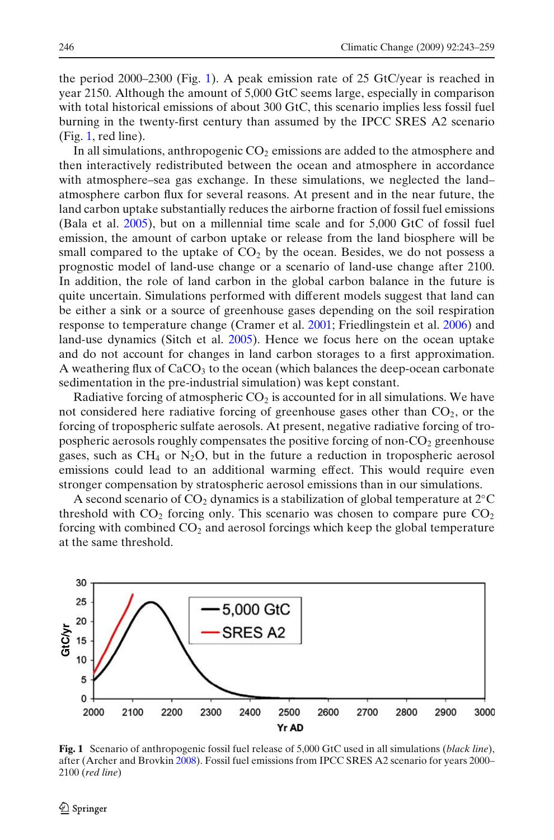the period 2000–2300 (Fig. 1). A peak emission rate of 25 GtC/year is reached in year 2150. Although the amount of 5,000 GtC seems large, especially in comparison with total historical emissions of about 300 GtC, this scenario implies less fossil fuel burning in the twenty-first century than assumed by the IPCC SRES A2 scenario (Fig. 1, red line).

In all simulations, anthropogenic  $CO<sub>2</sub>$  emissions are added to the atmosphere and then interactively redistributed between the ocean and atmosphere in accordance with atmosphere–sea gas exchange. In these simulations, we neglected the land– atmosphere carbon flux for several reasons. At present and in the near future, the land carbon uptake substantially reduces the airborne fraction of fossil fuel emissions (Bala et al[.](#page-14-0) [2005](#page-14-0)), but on a millennial time scale and for 5,000 GtC of fossil fuel emission, the amount of carbon uptake or release from the land biosphere will be small compared to the uptake of  $CO<sub>2</sub>$  by the ocean. Besides, we do not possess a prognostic model of land-use change or a scenario of land-use change after 2100. In addition, the role of land carbon in the global carbon balance in the future is quite uncertain. Simulations performed with different models suggest that land can be either a sink or a source of greenhouse gases depending on the soil respiration response to temperature change (Cramer et al[.](#page-14-0) [2001;](#page-14-0) Friedlingstein et al[.](#page-14-0) [2006\)](#page-14-0) and land-use dynamics (Sitch et al[.](#page-15-0) [2005](#page-15-0)). Hence we focus here on the ocean uptake and do not account for changes in land carbon storages to a first approximation. A weathering flux of  $CaCO<sub>3</sub>$  to the ocean (which balances the deep-ocean carbonate sedimentation in the pre-industrial simulation) was kept constant.

Radiative forcing of atmospheric  $CO<sub>2</sub>$  is accounted for in all simulations. We have not considered here radiative forcing of greenhouse gases other than  $CO<sub>2</sub>$ , or the forcing of tropospheric sulfate aerosols. At present, negative radiative forcing of tropospheric aerosols roughly compensates the positive forcing of non- $CO<sub>2</sub>$  greenhouse gases, such as CH<sub>4</sub> or N<sub>2</sub>O, but in the future a reduction in tropospheric aerosol emissions could lead to an additional warming effect. This would require even stronger compensation by stratospheric aerosol emissions than in our simulations.

A second scenario of  $CO_2$  dynamics is a stabilization of global temperature at  $2°C$ threshold with  $CO<sub>2</sub>$  forcing only. This scenario was chosen to compare pure  $CO<sub>2</sub>$ forcing with combined  $CO<sub>2</sub>$  and aerosol forcings which keep the global temperature at the same threshold.



**Fig. 1** Scenario of anthropogenic fossil fuel release of 5,000 GtC used in all simulations (*black line*), after (Archer and Brovki[n](#page-14-0) [2008\)](#page-14-0). Fossil fuel emissions from IPCC SRES A2 scenario for years 2000– 2100 (*red line*)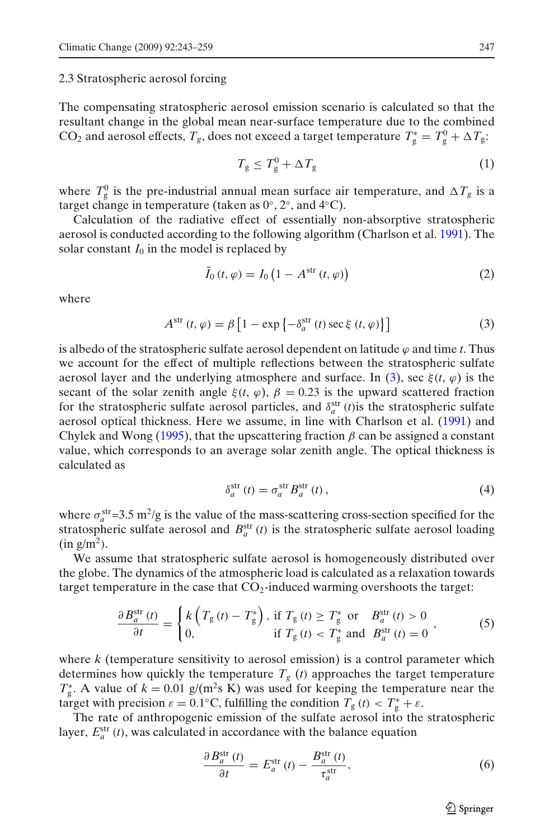<span id="page-4-0"></span>2.3 Stratospheric aerosol forcing

The compensating stratospheric aerosol emission scenario is calculated so that the resultant change in the global mean near-surface temperature due to the combined CO<sub>2</sub> and aerosol effects,  $T_g$ , does not exceed a target temperature  $T_g^* = T_g^0 + \Delta T_g$ .

$$
T_g \le T_g^0 + \Delta T_g \tag{1}
$$

where  $T_g^0$  is the pre-industrial annual mean surface air temperature, and  $\Delta T_g$  is a target change in temperature (taken as  $0^{\circ}$ ,  $2^{\circ}$ , and  $4^{\circ}$ C).

Calculation of the radiative effect of essentially non-absorptive stratospheric aerosol is conducted according to the following algorithm (Charlson et al[.](#page-14-0) [1991](#page-14-0)). The solar constant  $I_0$  in the model is replaced by

$$
\tilde{I}_0(t,\varphi) = I_0\left(1 - A^{\text{str}}(t,\varphi)\right) \tag{2}
$$

where

$$
A^{\text{str}}(t,\varphi) = \beta \left[1 - \exp\left\{-\delta_a^{\text{str}}(t)\sec\xi(t,\varphi)\right\}\right]
$$
(3)

is albedo of the stratospheric sulfate aerosol dependent on latitude  $\varphi$  and time *t*. Thus we account for the effect of multiple reflections between the stratospheric sulfate aerosol layer and the underlying atmosphere and surface. In (3), sec  $\xi(t, \varphi)$  is the secant of the solar zenith angle  $\xi(t, \varphi)$ ,  $\beta = 0.23$  is the upward scattered fraction for the stratospheric sulfate aerosol particles, and  $\delta_a^{\text{str}}(t)$  is the stratospheric sulfate aerosol optical thickness. Here we assume, in line with Charlson et al[.](#page-14-0) [\(1991](#page-14-0)) and Chylek and Won[g](#page-14-0) [\(1995](#page-14-0)), that the upscattering fraction  $\beta$  can be assigned a constant value, which corresponds to an average solar zenith angle. The optical thickness is calculated as

$$
\delta_a^{\text{str}}(t) = \sigma_a^{\text{str}} B_a^{\text{str}}(t) \,, \tag{4}
$$

where  $\sigma_a^{\text{str}}=3.5 \text{ m}^2/\text{g}$  is the value of the mass-scattering cross-section specified for the stratospheric sulfate aerosol and  $B_a^{\text{str}}(t)$  is the stratospheric sulfate aerosol loading  $(in g/m<sup>2</sup>)$ .

We assume that stratospheric sulfate aerosol is homogeneously distributed over the globe. The dynamics of the atmospheric load is calculated as a relaxation towards target temperature in the case that  $CO<sub>2</sub>$ -induced warming overshoots the target:

$$
\frac{\partial B_a^{\text{str}}(t)}{\partial t} = \begin{cases} k\left(T_g\left(t\right) - T_g^*\right), \text{ if } T_g\left(t\right) \ge T_g^* \text{ or } B_a^{\text{str}}(t) > 0\\ 0, \text{ if } T_g\left(t\right) < T_g^* \text{ and } B_a^{\text{str}}(t) = 0 \end{cases},\tag{5}
$$

where *k* (temperature sensitivity to aerosol emission) is a control parameter which determines how quickly the temperature  $T_g$  (*t*) approaches the target temperature  $T_g^*$ . A value of  $k = 0.01$  g/(m<sup>2</sup>s K) was used for keeping the temperature near the target with precision  $\varepsilon = 0.1$ °C, fulfilling the condition  $T_g(t) < T_g^* + \varepsilon$ .

The rate of anthropogenic emission of the sulfate aerosol into the stratospheric layer,  $E_a^{\text{str}}(t)$ , was calculated in accordance with the balance equation

$$
\frac{\partial B_a^{\text{str}}(t)}{\partial t} = E_a^{\text{str}}(t) - \frac{B_a^{\text{str}}(t)}{\tau_a^{\text{str}}},\tag{6}
$$

 $\mathcal{D}$  Springer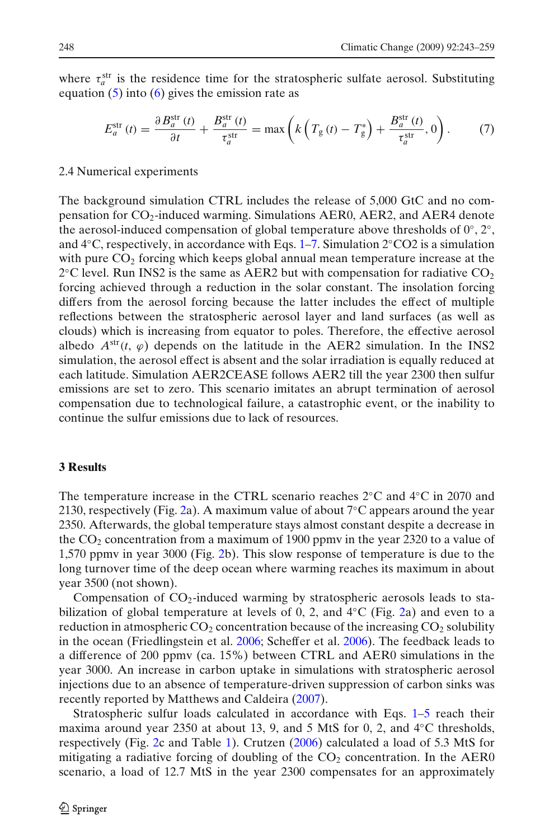where  $\tau_a^{\text{str}}$  is the residence time for the stratospheric sulfate aerosol. Substituting equation  $(5)$  into  $(6)$  gives the emission rate as

$$
E_a^{\text{str}}(t) = \frac{\partial B_a^{\text{str}}(t)}{\partial t} + \frac{B_a^{\text{str}}(t)}{\tau_a^{\text{str}}} = \max\left(k\left(T_g\left(t\right) - T_g^*\right) + \frac{B_a^{\text{str}}(t)}{\tau_a^{\text{str}}}, 0\right). \tag{7}
$$

# 2.4 Numerical experiments

The background simulation CTRL includes the release of 5,000 GtC and no compensation for  $CO<sub>2</sub>$ -induced warming. Simulations AER0, AER2, and AER4 denote the aerosol-induced compensation of global temperature above thresholds of  $0°$ ,  $2°$ , and 4◦C, respectively, in accordance with Eqs. [1–](#page-4-0)7. Simulation 2◦CO2 is a simulation with pure  $CO<sub>2</sub>$  forcing which keeps global annual mean temperature increase at the  $2^{\circ}$ C level. Run INS2 is the same as AER2 but with compensation for radiative CO<sub>2</sub> forcing achieved through a reduction in the solar constant. The insolation forcing differs from the aerosol forcing because the latter includes the effect of multiple reflections between the stratospheric aerosol layer and land surfaces (as well as clouds) which is increasing from equator to poles. Therefore, the effective aerosol albedo  $A<sup>str</sup>(t, \varphi)$  depends on the latitude in the AER2 simulation. In the INS2 simulation, the aerosol effect is absent and the solar irradiation is equally reduced at each latitude. Simulation AER2CEASE follows AER2 till the year 2300 then sulfur emissions are set to zero. This scenario imitates an abrupt termination of aerosol compensation due to technological failure, a catastrophic event, or the inability to continue the sulfur emissions due to lack of resources.

#### **3 Results**

The temperature increase in the CTRL scenario reaches 2◦C and 4◦C in 2070 and 2130, respectively (Fig. [2a](#page-6-0)). A maximum value of about  $7^{\circ}$ C appears around the year 2350. Afterwards, the global temperature stays almost constant despite a decrease in the  $CO<sub>2</sub>$  concentration from a maximum of 1900 ppmv in the year 2320 to a value of 1,570 ppmv in year 3000 (Fig. [2b](#page-6-0)). This slow response of temperature is due to the long turnover time of the deep ocean where warming reaches its maximum in about year 3500 (not shown).

Compensation of  $CO<sub>2</sub>$ -induced warming by stratospheric aerosols leads to stabilization of global temperature at levels of 0, 2, and  $4°C (Fig. 2a) and even to a$  $4°C (Fig. 2a) and even to a$  $4°C (Fig. 2a) and even to a$ reduction in atmospheric  $CO_2$  concentration because of the increasing  $CO_2$  solubility in the ocean (Friedlingstein et al[.](#page-14-0) [2006;](#page-14-0) Scheffer et al[.](#page-15-0) [2006\)](#page-15-0). The feedback leads to a difference of 200 ppmv (ca. 15%) between CTRL and AER0 simulations in the year 3000. An increase in carbon uptake in simulations with stratospheric aerosol injections due to an absence of temperature-driven suppression of carbon sinks was recently reported by M[a](#page-15-0)tthews and Caldeira [\(2007](#page-15-0)).

Stratospheric sulfur loads calculated in accordance with Eqs. [1–5](#page-4-0) reach their maxima around year 2350 at about 13, 9, and 5 MtS for 0, 2, and  $4°C$  thresholds, respectively (Fig. [2c](#page-6-0) and Table [1\)](#page-7-0). Crutze[n](#page-14-0) [\(2006](#page-14-0)) calculated a load of 5.3 MtS for mitigating a radiative forcing of doubling of the  $CO<sub>2</sub>$  concentration. In the AER0 scenario, a load of 12.7 MtS in the year 2300 compensates for an approximately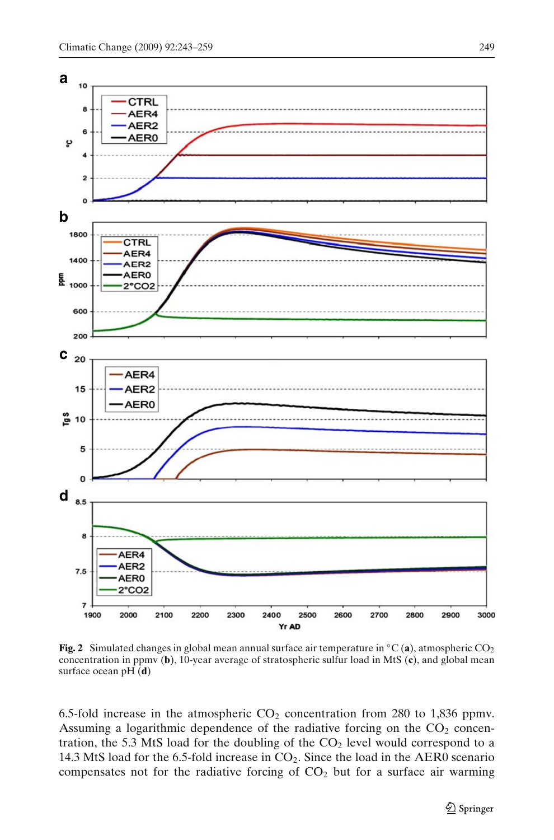<span id="page-6-0"></span>

**Fig. 2** Simulated changes in global mean annual surface air temperature in  $\rm{°C}$  (a), atmospheric CO<sub>2</sub> concentration in ppmv (**b**), 10-year average of stratospheric sulfur load in MtS (**c**), and global mean surface ocean pH (**d**)

6.5-fold increase in the atmospheric  $CO<sub>2</sub>$  concentration from 280 to 1,836 ppmv. Assuming a logarithmic dependence of the radiative forcing on the  $CO<sub>2</sub>$  concentration, the 5.3 MtS load for the doubling of the  $CO<sub>2</sub>$  level would correspond to a 14.3 MtS load for the 6.5-fold increase in  $CO<sub>2</sub>$ . Since the load in the AER0 scenario compensates not for the radiative forcing of  $CO<sub>2</sub>$  but for a surface air warming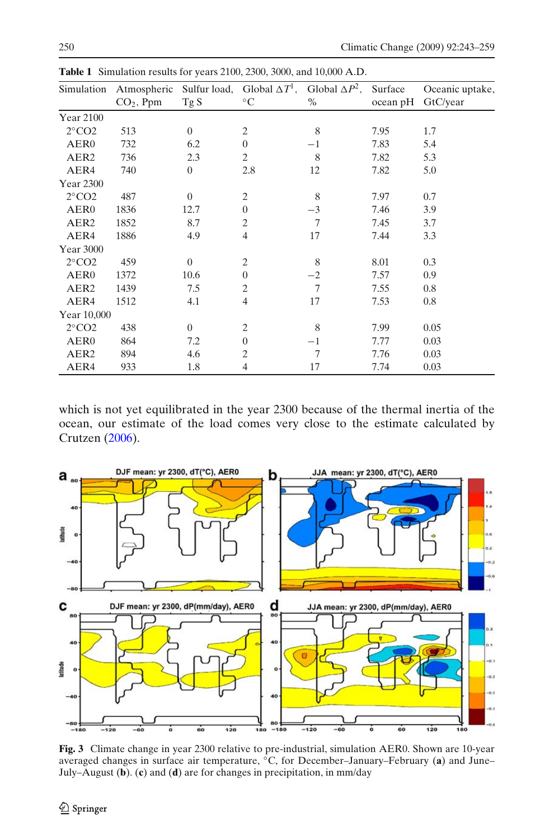| Simulation                  |             |                | Atmospheric Sulfur load, Global $\Delta T^1$ , Global $\Delta P^2$ , |      | Surface  | Oceanic uptake, |
|-----------------------------|-------------|----------------|----------------------------------------------------------------------|------|----------|-----------------|
|                             | $CO2$ , Ppm | Tg S           | $^{\circ}C$                                                          | $\%$ | ocean pH | GtC/year        |
| <b>Year 2100</b>            |             |                |                                                                      |      |          |                 |
| $2^{\circ}$ CO <sub>2</sub> | 513         | $\overline{0}$ | $\overline{c}$                                                       | 8    | 7.95     | 1.7             |
| AER <sub>0</sub>            | 732         | 6.2            | $\mathbf{0}$                                                         | $-1$ | 7.83     | 5.4             |
| AER <sub>2</sub>            | 736         | 2.3            | $\mathfrak{2}$                                                       | 8    | 7.82     | 5.3             |
| AER4                        | 740         | $\overline{0}$ | 2.8                                                                  | 12   | 7.82     | 5.0             |
| Year 2300                   |             |                |                                                                      |      |          |                 |
| $2^{\circ}$ CO <sub>2</sub> | 487         | $\overline{0}$ | $\overline{c}$                                                       | 8    | 7.97     | 0.7             |
| AER <sub>0</sub>            | 1836        | 12.7           | $\Omega$                                                             | $-3$ | 7.46     | 3.9             |
| AER <sub>2</sub>            | 1852        | 8.7            | $\overline{2}$                                                       | 7    | 7.45     | 3.7             |
| AER4                        | 1886        | 4.9            | $\overline{4}$                                                       | 17   | 7.44     | 3.3             |
| Year 3000                   |             |                |                                                                      |      |          |                 |
| $2^{\circ}$ CO <sub>2</sub> | 459         | $\overline{0}$ | $\mathfrak{2}$                                                       | 8    | 8.01     | 0.3             |
| AER <sub>0</sub>            | 1372        | 10.6           | $\overline{0}$                                                       | $-2$ | 7.57     | 0.9             |
| AER <sub>2</sub>            | 1439        | 7.5            | $\overline{2}$                                                       | 7    | 7.55     | 0.8             |
| AER4                        | 1512        | 4.1            | $\overline{4}$                                                       | 17   | 7.53     | 0.8             |
| Year 10,000                 |             |                |                                                                      |      |          |                 |
| $2^{\circ}$ CO <sub>2</sub> | 438         | $\overline{0}$ | $\overline{2}$                                                       | 8    | 7.99     | 0.05            |
| AER <sub>0</sub>            | 864         | 7.2            | $\boldsymbol{0}$                                                     | $-1$ | 7.77     | 0.03            |
| AER <sub>2</sub>            | 894         | 4.6            | $\overline{2}$                                                       | 7    | 7.76     | 0.03            |
| AER4                        | 933         | 1.8            | $\overline{4}$                                                       | 17   | 7.74     | 0.03            |

<span id="page-7-0"></span>**Table 1** Simulation results for years 2100, 2300, 3000, and 10,000 A.D.

which is not yet equilibrated in the year 2300 because of the thermal inertia of the ocean, our estimate of the load comes very close to the estimate calculated by Crutze[n](#page-14-0) [\(2006](#page-14-0)).



**Fig. 3** Climate change in year 2300 relative to pre-industrial, simulation AER0. Shown are 10-year averaged changes in surface air temperature, ◦C, for December–January–February (**a**) and June– July–August (**b**). (**c**) and (**d**) are for changes in precipitation, in mm/day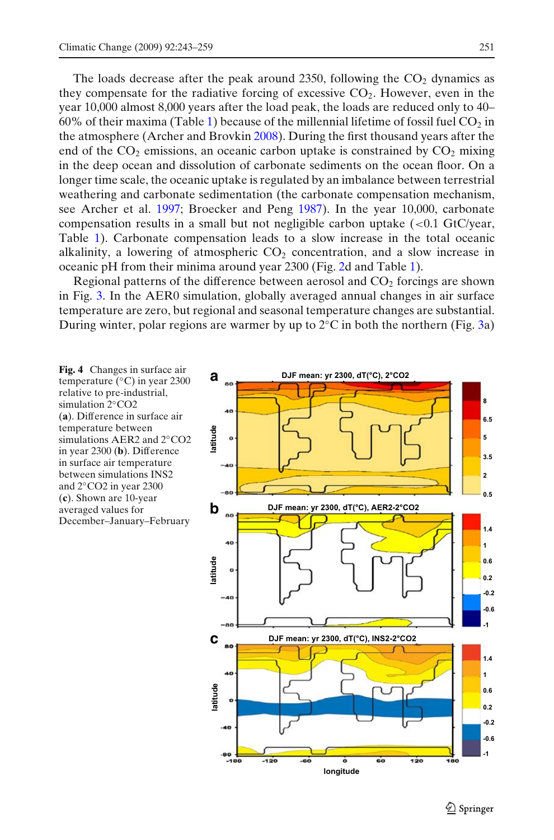<span id="page-8-0"></span>The loads decrease after the peak around 2350, following the  $CO<sub>2</sub>$  dynamics as they compensate for the radiative forcing of excessive  $CO<sub>2</sub>$ . However, even in the year 10,000 almost 8,000 years after the load peak, the loads are reduced only to 40– 60% of their maxima (Table [1\)](#page-7-0) because of the millennial lifetime of fossil fuel  $CO<sub>2</sub>$  in the atmosphere (Archer and Brovki[n](#page-14-0) [2008\)](#page-14-0). During the first thousand years after the end of the  $CO<sub>2</sub>$  emissions, an oceanic carbon uptake is constrained by  $CO<sub>2</sub>$  mixing in the deep ocean and dissolution of carbonate sediments on the ocean floor. On a longer time scale, the oceanic uptake is regulated by an imbalance between terrestrial weathering and carbonate sedimentation (the carbonate compensation mechanism, see Archer et al. [1997](#page-14-0); Broecker and Peng [1987\)](#page-14-0). In the year 10,000, carbonate compensation results in a small but not negligible carbon uptake  $\left($  <0.1 GtC/year, Table [1\)](#page-7-0). Carbonate compensation leads to a slow increase in the total oceanic alkalinity, a lowering of atmospheric  $CO<sub>2</sub>$  concentration, and a slow increase in oceanic pH from their minima around year 2300 (Fig. [2d](#page-6-0) and Table [1\)](#page-7-0).

Regional patterns of the difference between aerosol and  $CO<sub>2</sub>$  forcings are shown in Fig. [3.](#page-7-0) In the AER0 simulation, globally averaged annual changes in air surface temperature are zero, but regional and seasonal temperature changes are substantial. During winter, polar regions are warmer by up to  $2°C$  in both the northern (Fig. [3a](#page-7-0))

**Fig. 4** Changes in surface air temperature (◦C) in year 2300 relative to pre-industrial, simulation 2◦CO2 (**a**). Difference in surface air temperature between simulations AER2 and 2◦CO2 in year 2300 (**b**). Difference in surface air temperature between simulations INS2 and 2◦CO2 in year 2300 (**c**). Shown are 10-year averaged values for December–January–February

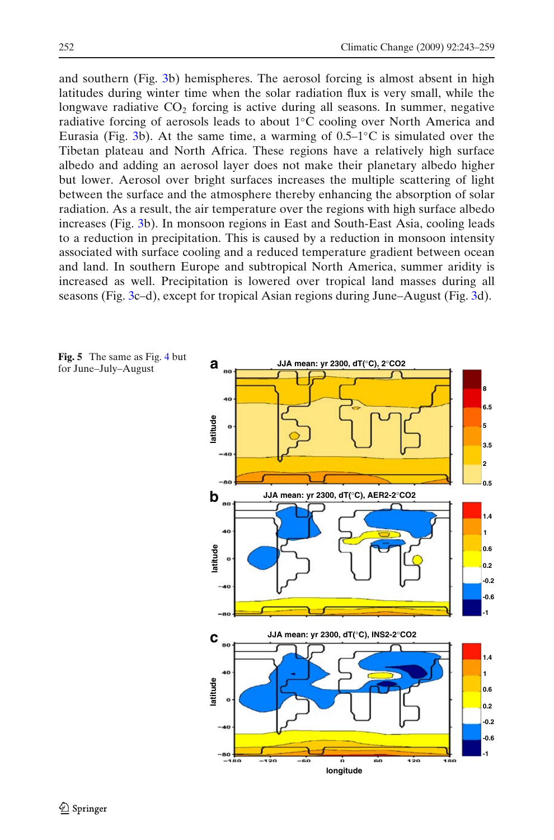<span id="page-9-0"></span>and southern (Fig. [3b](#page-7-0)) hemispheres. The aerosol forcing is almost absent in high latitudes during winter time when the solar radiation flux is very small, while the longwave radiative  $CO<sub>2</sub>$  forcing is active during all seasons. In summer, negative radiative forcing of aerosols leads to about 1◦C cooling over North America and Eurasia (Fig. [3b](#page-7-0)). At the same time, a warming of  $0.5-1$ °C is simulated over the Tibetan plateau and North Africa. These regions have a relatively high surface albedo and adding an aerosol layer does not make their planetary albedo higher but lower. Aerosol over bright surfaces increases the multiple scattering of light between the surface and the atmosphere thereby enhancing the absorption of solar radiation. As a result, the air temperature over the regions with high surface albedo increases (Fig. [3b](#page-7-0)). In monsoon regions in East and South-East Asia, cooling leads to a reduction in precipitation. This is caused by a reduction in monsoon intensity associated with surface cooling and a reduced temperature gradient between ocean and land. In southern Europe and subtropical North America, summer aridity is increased as well. Precipitation is lowered over tropical land masses during all seasons (Fig. [3c](#page-7-0)–d), except for tropical Asian regions during June–August (Fig. [3d](#page-7-0)).

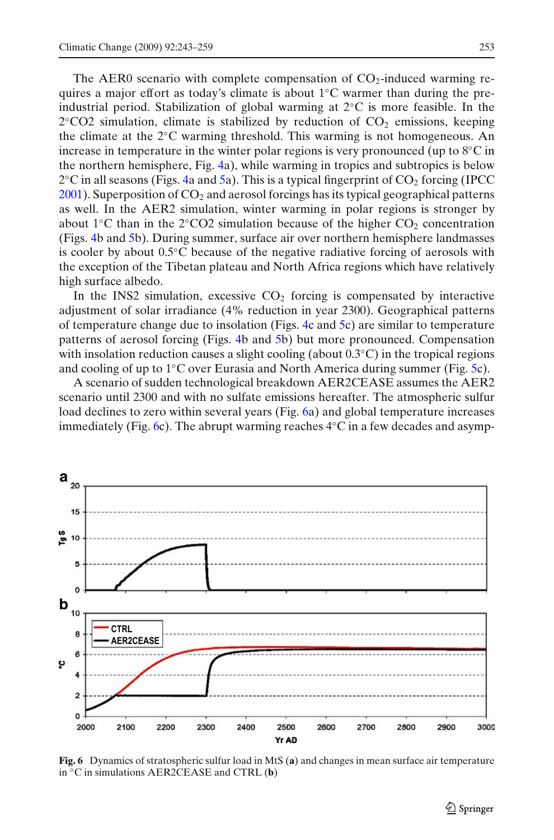The AER0 scenario with complete compensation of  $CO<sub>2</sub>$ -induced warming requires a major effort as today's climate is about 1◦C warmer than during the preindustrial period. Stabilization of global warming at 2◦C is more feasible. In the  $2°CO2$  simulation, climate is stabilized by reduction of  $CO<sub>2</sub>$  emissions, keeping the climate at the 2◦C warming threshold. This warming is not homogeneous. An increase in temperature in the winter polar regions is very pronounced (up to  $8°C$  in the northern hemisphere, Fig. [4a](#page-8-0)), while warming in tropics and subtropics is below  $2^{\circ}$ C in all seasons (Figs. [4a](#page-8-0) and [5a](#page-9-0)). This is a typical fingerprint of  $CO_2$  $CO_2$  forcing (IPCC  $2001$ ). Superposition of  $CO<sub>2</sub>$  and aerosol forcings has its typical geographical patterns as well. In the AER2 simulation, winter warming in polar regions is stronger by about 1 °C than in the 2 °CO2 simulation because of the higher  $CO<sub>2</sub>$  concentration (Figs. [4b](#page-8-0) and [5b](#page-9-0)). During summer, surface air over northern hemisphere landmasses is cooler by about 0.5◦C because of the negative radiative forcing of aerosols with the exception of the Tibetan plateau and North Africa regions which have relatively high surface albedo.

In the INS2 simulation, excessive  $CO<sub>2</sub>$  forcing is compensated by interactive adjustment of solar irradiance (4% reduction in year 2300). Geographical patterns of temperature change due to insolation (Figs. [4c](#page-8-0) and [5c](#page-9-0)) are similar to temperature patterns of aerosol forcing (Figs. [4b](#page-8-0) and [5b](#page-9-0)) but more pronounced. Compensation with insolation reduction causes a slight cooling (about  $0.3\degree C$ ) in the tropical regions and cooling of up to 1◦C over Eurasia and North America during summer (Fig. [5c](#page-9-0)).

A scenario of sudden technological breakdown AER2CEASE assumes the AER2 scenario until 2300 and with no sulfate emissions hereafter. The atmospheric sulfur load declines to zero within several years (Fig. 6a) and global temperature increases immediately (Fig. 6c). The abrupt warming reaches  $4\degree$ C in a few decades and asymp-



**Fig. 6** Dynamics of stratospheric sulfur load in MtS (**a**) and changes in mean surface air temperature in ◦C in simulations AER2CEASE and CTRL (**b**)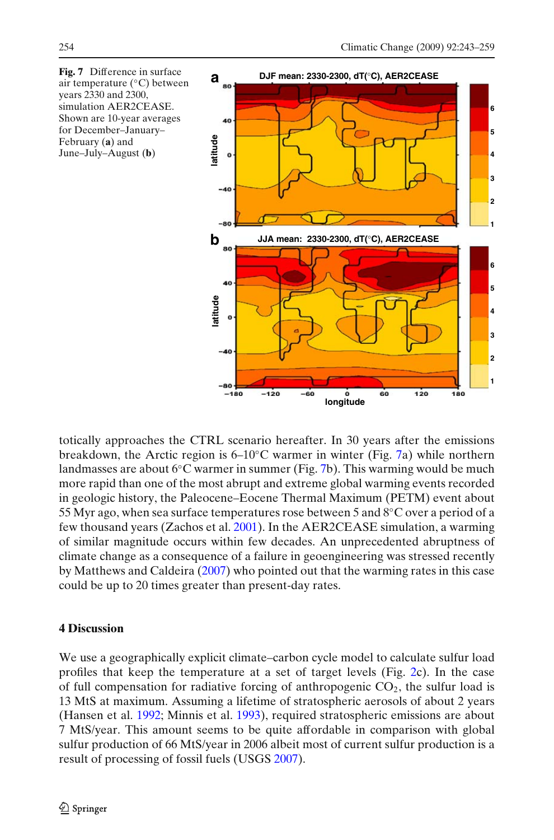<span id="page-11-0"></span>

totically approaches the CTRL scenario hereafter. In 30 years after the emissions breakdown, the Arctic region is  $6-10$ °C warmer in winter (Fig. 7a) while northern landmasses are about  $6°C$  warmer in summer (Fig. 7b). This warming would be much more rapid than one of the most abrupt and extreme global warming events recorded in geologic history, the Paleocene–Eocene Thermal Maximum (PETM) event about 55 Myr ago, when sea surface temperatures rose between 5 and 8◦C over a period of a few thousand years (Zachos et al[.](#page-16-0) [2001](#page-16-0)). In the AER2CEASE simulation, a warming of similar magnitude occurs within few decades. An unprecedented abruptness of climate change as a consequence of a failure in geoengineering was stressed recently by Matthews and Caldeir[a](#page-15-0) [\(2007](#page-15-0)) who pointed out that the warming rates in this case could be up to 20 times greater than present-day rates.

# **4 Discussion**

We use a geographically explicit climate–carbon cycle model to calculate sulfur load profiles that keep the temperature at a set of target levels (Fig. [2c](#page-6-0)). In the case of full compensation for radiative forcing of anthropogenic  $CO<sub>2</sub>$ , the sulfur load is 13 MtS at maximum. Assuming a lifetime of stratospheric aerosols of about 2 years (Hansen et al[.](#page-14-0) [1992;](#page-14-0) Minnis et al[.](#page-15-0) [1993\)](#page-15-0), required stratospheric emissions are about 7 MtS/year. This amount seems to be quite affordable in comparison with global sulfur production of 66 MtS/year in 2006 albeit most of current sulfur production is a result of processing of fossil fuels (USG[S](#page-15-0) [2007\)](#page-15-0).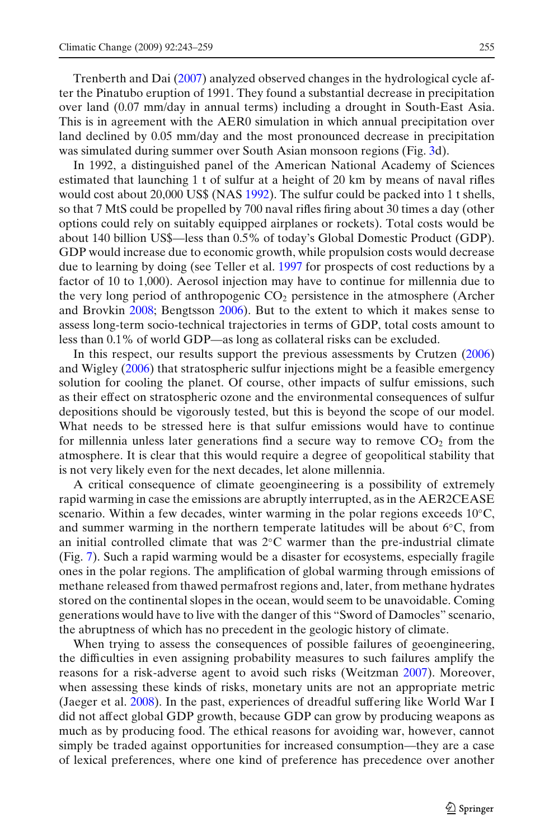Trenberth and Da[i](#page-15-0) [\(2007](#page-15-0)) analyzed observed changes in the hydrological cycle after the Pinatubo eruption of 1991. They found a substantial decrease in precipitation over land (0.07 mm/day in annual terms) including a drought in South-East Asia. This is in agreement with the AER0 simulation in which annual precipitation over land declined by 0.05 mm/day and the most pronounced decrease in precipitation was simulated during summer over South Asian monsoon regions (Fig. [3d](#page-7-0)).

In 1992, a distinguished panel of the American National Academy of Sciences estimated that launching 1 t of sulfur at a height of 20 km by means of naval rifles would cost about 20,000 US\$ (NA[S](#page-15-0) [1992\)](#page-15-0). The sulfur could be packed into 1 t shells, so that 7 MtS could be propelled by 700 naval rifles firing about 30 times a day (other options could rely on suitably equipped airplanes or rockets). Total costs would be about 140 billion US\$—less than 0.5% of today's Global Domestic Product (GDP). GDP would increase due to economic growth, while propulsion costs would decrease due to learning by doing (see Teller et al. [1997](#page-15-0) for prospects of cost reductions by a factor of 10 to 1,000). Aerosol injection may have to continue for millennia due to the very long period of anthropogenic  $CO<sub>2</sub>$  persistence in the atmosphere (Archer and Brovki[n](#page-14-0) [2008;](#page-14-0) Bengtsso[n](#page-14-0) [2006](#page-14-0)). But to the extent to which it makes sense to assess long-term socio-technical trajectories in terms of GDP, total costs amount to less than 0.1% of world GDP—as long as collateral risks can be excluded.

In this respect, our results support the previous assessments by Crutze[n](#page-14-0) [\(2006\)](#page-14-0) and Wigle[y](#page-16-0) [\(2006\)](#page-16-0) that stratospheric sulfur injections might be a feasible emergency solution for cooling the planet. Of course, other impacts of sulfur emissions, such as their effect on stratospheric ozone and the environmental consequences of sulfur depositions should be vigorously tested, but this is beyond the scope of our model. What needs to be stressed here is that sulfur emissions would have to continue for millennia unless later generations find a secure way to remove  $CO<sub>2</sub>$  from the atmosphere. It is clear that this would require a degree of geopolitical stability that is not very likely even for the next decades, let alone millennia.

A critical consequence of climate geoengineering is a possibility of extremely rapid warming in case the emissions are abruptly interrupted, as in the AER2CEASE scenario. Within a few decades, winter warming in the polar regions exceeds 10◦C, and summer warming in the northern temperate latitudes will be about  $6°C$ , from an initial controlled climate that was 2◦C warmer than the pre-industrial climate (Fig. [7\)](#page-11-0). Such a rapid warming would be a disaster for ecosystems, especially fragile ones in the polar regions. The amplification of global warming through emissions of methane released from thawed permafrost regions and, later, from methane hydrates stored on the continental slopes in the ocean, would seem to be unavoidable. Coming generations would have to live with the danger of this "Sword of Damocles" scenario, the abruptness of which has no precedent in the geologic history of climate.

When trying to assess the consequences of possible failures of geoengineering, the difficulties in even assigning probability measures to such failures amplify the reasons for a risk-adverse agent to avoid such risks (Weitzma[n](#page-16-0) [2007](#page-16-0)). Moreover, when assessing these kinds of risks, monetary units are not an appropriate metric (Jaeger et al[.](#page-15-0) [2008\)](#page-15-0). In the past, experiences of dreadful suffering like World War I did not affect global GDP growth, because GDP can grow by producing weapons as much as by producing food. The ethical reasons for avoiding war, however, cannot simply be traded against opportunities for increased consumption—they are a case of lexical preferences, where one kind of preference has precedence over another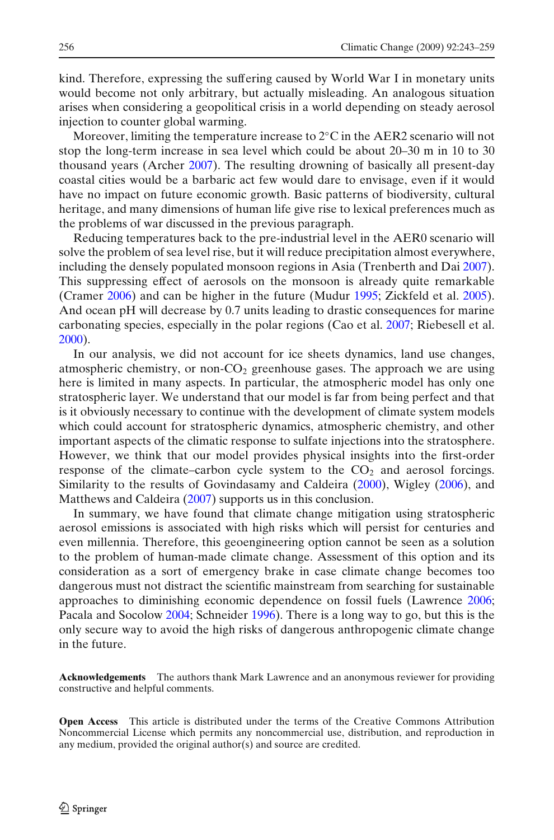kind. Therefore, expressing the suffering caused by World War I in monetary units would become not only arbitrary, but actually misleading. An analogous situation arises when considering a geopolitical crisis in a world depending on steady aerosol injection to counter global warming.

Moreover, limiting the temperature increase to  $2^{\circ}$ C in the AER2 scenario will not stop the long-term increase in sea level which could be about 20–30 m in 10 to 30 thousand years (Arche[r](#page-14-0) [2007\)](#page-14-0). The resulting drowning of basically all present-day coastal cities would be a barbaric act few would dare to envisage, even if it would have no impact on future economic growth. Basic patterns of biodiversity, cultural heritage, and many dimensions of human life give rise to lexical preferences much as the problems of war discussed in the previous paragraph.

Reducing temperatures back to the pre-industrial level in the AER0 scenario will solve the problem of sea level rise, but it will reduce precipitation almost everywhere, including the densely populated monsoon regions in Asia (Trenberth and Da[i](#page-15-0) [2007\)](#page-15-0). This suppressing effect of aerosols on the monsoon is already quite remarkable (Crame[r](#page-14-0) [2006](#page-14-0)) and can be higher in the future (Mudu[r](#page-15-0) [1995](#page-15-0); Zickfeld et al[.](#page-16-0) [2005\)](#page-16-0). And ocean pH will decrease by 0.7 units leading to drastic consequences for marine carbonating species, especially in the polar regions (Cao et al[.](#page-14-0) [2007;](#page-14-0) Riebesell et al[.](#page-15-0) [2000\)](#page-15-0).

In our analysis, we did not account for ice sheets dynamics, land use changes, atmospheric chemistry, or non- $CO<sub>2</sub>$  greenhouse gases. The approach we are using here is limited in many aspects. In particular, the atmospheric model has only one stratospheric layer. We understand that our model is far from being perfect and that is it obviously necessary to continue with the development of climate system models which could account for stratospheric dynamics, atmospheric chemistry, and other important aspects of the climatic response to sulfate injections into the stratosphere. However, we think that our model provides physical insights into the first-order response of the climate–carbon cycle system to the  $CO<sub>2</sub>$  and aerosol forcings. Similarity to the results of Govindasamy and Caldeir[a](#page-14-0) [\(2000\)](#page-14-0), Wigle[y](#page-16-0) [\(2006\)](#page-16-0), and Matthews and Caldeir[a](#page-15-0) [\(2007\)](#page-15-0) supports us in this conclusion.

In summary, we have found that climate change mitigation using stratospheric aerosol emissions is associated with high risks which will persist for centuries and even millennia. Therefore, this geoengineering option cannot be seen as a solution to the problem of human-made climate change. Assessment of this option and its consideration as a sort of emergency brake in case climate change becomes too dangerous must not distract the scientific mainstream from searching for sustainable approaches to diminishing economic dependence on fossil fuels (Lawrenc[e](#page-15-0) [2006](#page-15-0); Pacala and Socolo[w](#page-15-0) [2004;](#page-15-0) Schneide[r](#page-15-0) [1996\)](#page-15-0). There is a long way to go, but this is the only secure way to avoid the high risks of dangerous anthropogenic climate change in the future.

**Acknowledgements** The authors thank Mark Lawrence and an anonymous reviewer for providing constructive and helpful comments.

**Open Access** This article is distributed under the terms of the Creative Commons Attribution Noncommercial License which permits any noncommercial use, distribution, and reproduction in any medium, provided the original author(s) and source are credited.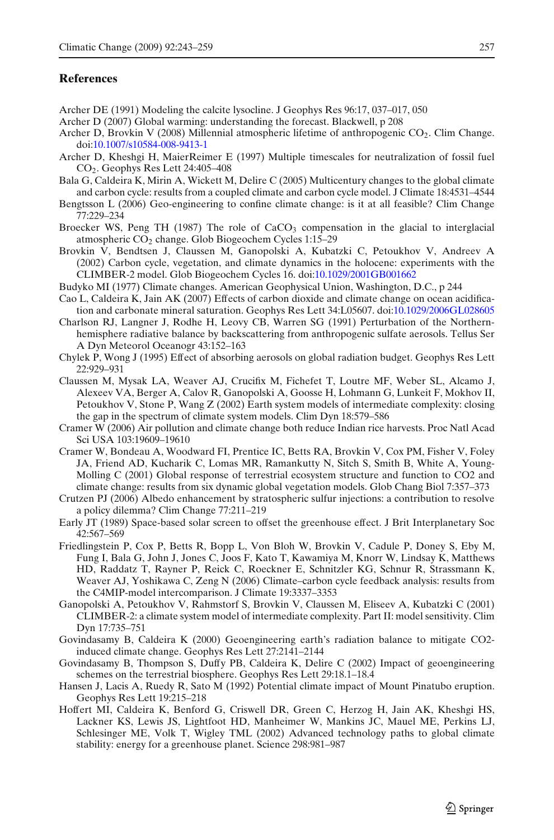# <span id="page-14-0"></span>**References**

- Archer DE (1991) Modeling the calcite lysocline. J Geophys Res 96:17, 037–017, 050
- Archer D (2007) Global warming: understanding the forecast. Blackwell, p 208
- Archer D, Brovkin V (2008) Millennial atmospheric lifetime of anthropogenic  $CO<sub>2</sub>$ . Clim Change. doi[:10.1007/s10584-008-9413-1](http://dx.doi.org/10.1007/s10584-008-9413-1)
- Archer D, Kheshgi H, MaierReimer E (1997) Multiple timescales for neutralization of fossil fuel CO2. Geophys Res Lett 24:405–408
- Bala G, Caldeira K, Mirin A, Wickett M, Delire C (2005) Multicentury changes to the global climate and carbon cycle: results from a coupled climate and carbon cycle model. J Climate 18:4531–4544
- Bengtsson L (2006) Geo-engineering to confine climate change: is it at all feasible? Clim Change 77:229–234
- Broecker WS, Peng TH (1987) The role of  $CaCO<sub>3</sub>$  compensation in the glacial to interglacial atmospheric CO2 change. Glob Biogeochem Cycles 1:15–29
- Brovkin V, Bendtsen J, Claussen M, Ganopolski A, Kubatzki C, Petoukhov V, Andreev A (2002) Carbon cycle, vegetation, and climate dynamics in the holocene: experiments with the CLIMBER-2 model. Glob Biogeochem Cycles 16. doi[:10.1029/2001GB001662](http://dx.doi.org/10.1029/2001GB001662)
- Budyko MI (1977) Climate changes. American Geophysical Union, Washington, D.C., p 244
- Cao L, Caldeira K, Jain AK (2007) Effects of carbon dioxide and climate change on ocean acidification and carbonate mineral saturation. Geophys Res Lett 34:L05607. doi[:10.1029/2006GL028605](http://dx.doi.org/10.1029/2006GL028605)
- Charlson RJ, Langner J, Rodhe H, Leovy CB, Warren SG (1991) Perturbation of the Northernhemisphere radiative balance by backscattering from anthropogenic sulfate aerosols. Tellus Ser A Dyn Meteorol Oceanogr 43:152–163
- Chylek P, Wong J (1995) Effect of absorbing aerosols on global radiation budget. Geophys Res Lett 22:929–931
- Claussen M, Mysak LA, Weaver AJ, Crucifix M, Fichefet T, Loutre MF, Weber SL, Alcamo J, Alexeev VA, Berger A, Calov R, Ganopolski A, Goosse H, Lohmann G, Lunkeit F, Mokhov II, Petoukhov V, Stone P, Wang Z (2002) Earth system models of intermediate complexity: closing the gap in the spectrum of climate system models. Clim Dyn 18:579–586
- Cramer W (2006) Air pollution and climate change both reduce Indian rice harvests. Proc Natl Acad Sci USA 103:19609–19610
- Cramer W, Bondeau A, Woodward FI, Prentice IC, Betts RA, Brovkin V, Cox PM, Fisher V, Foley JA, Friend AD, Kucharik C, Lomas MR, Ramankutty N, Sitch S, Smith B, White A, Young-Molling C (2001) Global response of terrestrial ecosystem structure and function to CO2 and climate change: results from six dynamic global vegetation models. Glob Chang Biol 7:357–373
- Crutzen PJ (2006) Albedo enhancement by stratospheric sulfur injections: a contribution to resolve a policy dilemma? Clim Change 77:211–219
- Early JT (1989) Space-based solar screen to offset the greenhouse effect. J Brit Interplanetary Soc 42:567–569
- Friedlingstein P, Cox P, Betts R, Bopp L, Von Bloh W, Brovkin V, Cadule P, Doney S, Eby M, Fung I, Bala G, John J, Jones C, Joos F, Kato T, Kawamiya M, Knorr W, Lindsay K, Matthews HD, Raddatz T, Rayner P, Reick C, Roeckner E, Schnitzler KG, Schnur R, Strassmann K, Weaver AJ, Yoshikawa C, Zeng N (2006) Climate–carbon cycle feedback analysis: results from the C4MIP-model intercomparison. J Climate 19:3337–3353
- Ganopolski A, Petoukhov V, Rahmstorf S, Brovkin V, Claussen M, Eliseev A, Kubatzki C (2001) CLIMBER-2: a climate system model of intermediate complexity. Part II: model sensitivity. Clim Dyn 17:735–751
- Govindasamy B, Caldeira K (2000) Geoengineering earth's radiation balance to mitigate CO2 induced climate change. Geophys Res Lett 27:2141–2144
- Govindasamy B, Thompson S, Duffy PB, Caldeira K, Delire C (2002) Impact of geoengineering schemes on the terrestrial biosphere. Geophys Res Lett 29:18.1–18.4
- Hansen J, Lacis A, Ruedy R, Sato M (1992) Potential climate impact of Mount Pinatubo eruption. Geophys Res Lett 19:215–218
- Hoffert MI, Caldeira K, Benford G, Criswell DR, Green C, Herzog H, Jain AK, Kheshgi HS, Lackner KS, Lewis JS, Lightfoot HD, Manheimer W, Mankins JC, Mauel ME, Perkins LJ, Schlesinger ME, Volk T, Wigley TML (2002) Advanced technology paths to global climate stability: energy for a greenhouse planet. Science 298:981–987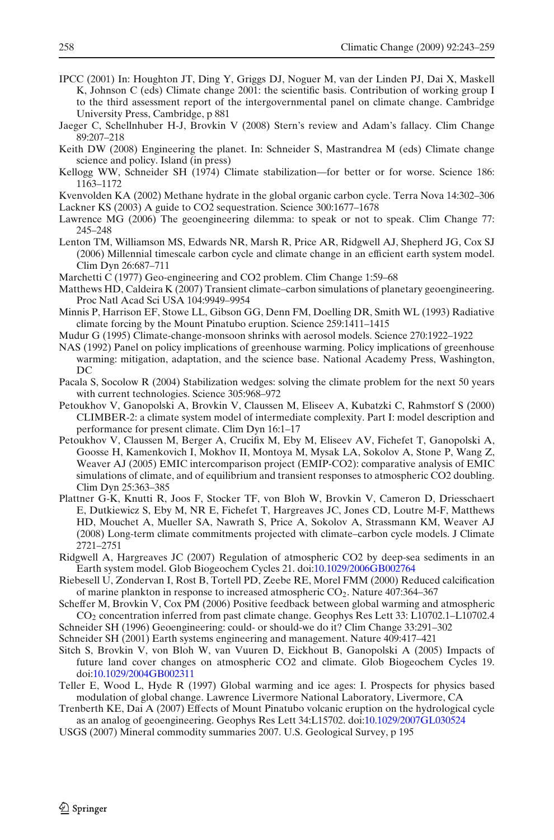- <span id="page-15-0"></span>IPCC (2001) In: Houghton JT, Ding Y, Griggs DJ, Noguer M, van der Linden PJ, Dai X, Maskell K, Johnson C (eds) Climate change 2001: the scientific basis. Contribution of working group I to the third assessment report of the intergovernmental panel on climate change. Cambridge University Press, Cambridge, p 881
- Jaeger C, Schellnhuber H-J, Brovkin V (2008) Stern's review and Adam's fallacy. Clim Change 89:207–218
- Keith DW (2008) Engineering the planet. In: Schneider S, Mastrandrea M (eds) Climate change science and policy. Island (in press)
- Kellogg WW, Schneider SH (1974) Climate stabilization—for better or for worse. Science 186: 1163–1172
- Kvenvolden KA (2002) Methane hydrate in the global organic carbon cycle. Terra Nova 14:302–306 Lackner KS (2003) A guide to CO2 sequestration. Science 300:1677–1678
- Lawrence MG (2006) The geoengineering dilemma: to speak or not to speak. Clim Change 77: 245–248
- Lenton TM, Williamson MS, Edwards NR, Marsh R, Price AR, Ridgwell AJ, Shepherd JG, Cox SJ (2006) Millennial timescale carbon cycle and climate change in an efficient earth system model. Clim Dyn 26:687–711
- Marchetti C (1977) Geo-engineering and CO2 problem. Clim Change 1:59–68
- Matthews HD, Caldeira K (2007) Transient climate–carbon simulations of planetary geoengineering. Proc Natl Acad Sci USA 104:9949–9954
- Minnis P, Harrison EF, Stowe LL, Gibson GG, Denn FM, Doelling DR, Smith WL (1993) Radiative climate forcing by the Mount Pinatubo eruption. Science 259:1411–1415
- Mudur G (1995) Climate-change-monsoon shrinks with aerosol models. Science 270:1922–1922
- NAS (1992) Panel on policy implications of greenhouse warming. Policy implications of greenhouse warming: mitigation, adaptation, and the science base. National Academy Press, Washington, DC
- Pacala S, Socolow R (2004) Stabilization wedges: solving the climate problem for the next 50 years with current technologies. Science 305:968–972
- Petoukhov V, Ganopolski A, Brovkin V, Claussen M, Eliseev A, Kubatzki C, Rahmstorf S (2000) CLIMBER-2: a climate system model of intermediate complexity. Part I: model description and performance for present climate. Clim Dyn 16:1–17
- Petoukhov V, Claussen M, Berger A, Crucifix M, Eby M, Eliseev AV, Fichefet T, Ganopolski A, Goosse H, Kamenkovich I, Mokhov II, Montoya M, Mysak LA, Sokolov A, Stone P, Wang Z, Weaver AJ (2005) EMIC intercomparison project (EMIP-CO2): comparative analysis of EMIC simulations of climate, and of equilibrium and transient responses to atmospheric CO2 doubling. Clim Dyn 25:363–385
- Plattner G-K, Knutti R, Joos F, Stocker TF, von Bloh W, Brovkin V, Cameron D, Driesschaert E, Dutkiewicz S, Eby M, NR E, Fichefet T, Hargreaves JC, Jones CD, Loutre M-F, Matthews HD, Mouchet A, Mueller SA, Nawrath S, Price A, Sokolov A, Strassmann KM, Weaver AJ (2008) Long-term climate commitments projected with climate–carbon cycle models. J Climate 2721–2751
- Ridgwell A, Hargreaves JC (2007) Regulation of atmospheric CO2 by deep-sea sediments in an Earth system model. Glob Biogeochem Cycles 21. doi[:10.1029/2006GB002764](http://dx.doi.org/10.1029/2006GB002764)
- Riebesell U, Zondervan I, Rost B, Tortell PD, Zeebe RE, Morel FMM (2000) Reduced calcification of marine plankton in response to increased atmospheric CO2. Nature 407:364–367
- Scheffer M, Brovkin V, Cox PM (2006) Positive feedback between global warming and atmospheric CO2 concentration inferred from past climate change. Geophys Res Lett 33: L10702.1–L10702.4
- Schneider SH (1996) Geoengineering: could- or should-we do it? Clim Change 33:291–302
- Schneider SH (2001) Earth systems engineering and management. Nature 409:417–421
- Sitch S, Brovkin V, von Bloh W, van Vuuren D, Eickhout B, Ganopolski A (2005) Impacts of future land cover changes on atmospheric CO2 and climate. Glob Biogeochem Cycles 19. doi[:10.1029/2004GB002311](http://dx.doi.org/10.1029/2004GB002311)
- Teller E, Wood L, Hyde R (1997) Global warming and ice ages: I. Prospects for physics based modulation of global change. Lawrence Livermore National Laboratory, Livermore, CA
- Trenberth KE, Dai A (2007) Effects of Mount Pinatubo volcanic eruption on the hydrological cycle as an analog of geoengineering. Geophys Res Lett 34:L15702. doi[:10.1029/2007GL030524](http://dx.doi.org/10.1029/2007GL030524)
- USGS (2007) Mineral commodity summaries 2007. U.S. Geological Survey, p 195